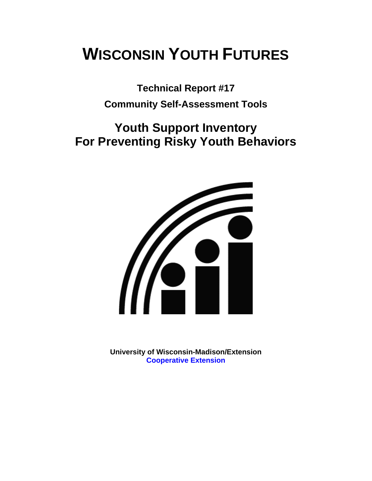# **WISCONSIN YOUTH FUTURES**

**Technical Report #17 Community Self-Assessment Tools** 

## **Youth Support Inventory For Preventing Risky Youth Behaviors**



**University of Wisconsin-Madison/Extension [Cooperative Extension](http://www1.uwex.edu/ces/index.cfm)**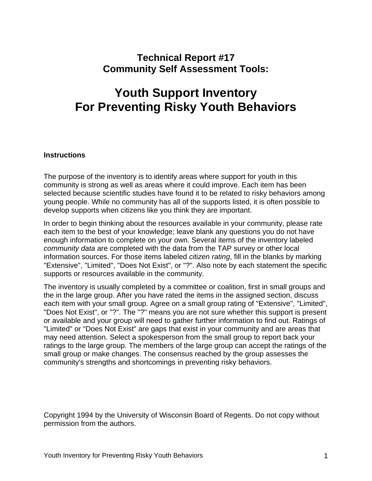## **Technical Report #17 Community Self Assessment Tools:**

## **Youth Support Inventory For Preventing Risky Youth Behaviors**

## **Instructions**

The purpose of the inventory is to identify areas where support for youth in this community is strong as well as areas where it could improve. Each item has been selected because scientific studies have found it to be related to risky behaviors among young people. While no community has all of the supports listed, it is often possible to develop supports when citizens like you think they are important.

In order to begin thinking about the resources available in your community, please rate each item to the best of your knowledge; leave blank any questions you do not have enough information to complete on your own. Several items of the inventory labeled *community data* are completed with the data from the TAP survey or other local information sources. For those items labeled *citizen rating*, fill in the blanks by marking "Extensive", "Limited", "Does Not Exist", or "?". Also note by each statement the specific supports or resources available in the community.

The inventory is usually completed by a committee or coalition, first in small groups and the in the large group. After you have rated the items in the assigned section, discuss each item with your small group. Agree on a small group rating of "Extensive", "Limited", "Does Not Exist", or "?". The "?" means you are not sure whether this support is present or available and your group will need to gather further information to find out. Ratings of "Limited" or "Does Not Exist" are gaps that exist in your community and are areas that may need attention. Select a spokesperson from the small group to report back your ratings to the large group. The members of the large group can accept the ratings of the small group or make changes. The consensus reached by the group assesses the community's strengths and shortcomings in preventing risky behaviors.

Copyright 1994 by the University of Wisconsin Board of Regents. Do not copy without permission from the authors.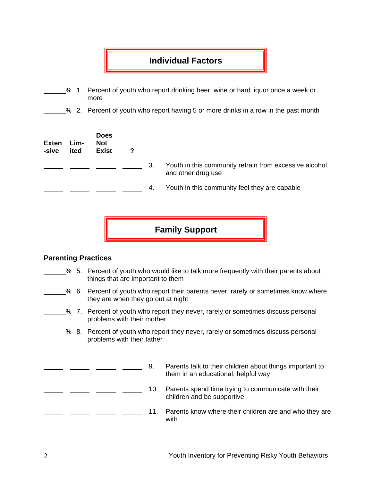## **Individual Factors**

- % 1. Percent of youth who report drinking beer, wine or hard liquor once a week or more
- % 2. Percent of youth who report having 5 or more drinks in a row in the past month

| <b>Exten</b><br>-sive | Lim-<br>ited | <b>Does</b><br><b>Not</b><br><b>Exist</b> | 2 |    |                                                                              |
|-----------------------|--------------|-------------------------------------------|---|----|------------------------------------------------------------------------------|
|                       |              |                                           |   | 3. | Youth in this community refrain from excessive alcohol<br>and other drug use |
|                       |              |                                           |   | 4. | Youth in this community feel they are capable                                |

**Family Support** 

## **Parenting Practices**

- % 5. Percent of youth who would like to talk more frequently with their parents about things that are important to them
- % 6. Percent of youth who report their parents never, rarely or sometimes know where they are when they go out at night
- % 7. Percent of youth who report they never, rarely or sometimes discuss personal problems with their mother
	- % 8. Percent of youth who report they never, rarely or sometimes discuss personal problems with their father
- 9. Parents talk to their children about things important to them in an educational, helpful way 10. Parents spend time trying to communicate with their children and be supportive 11. Parents know where their children are and who they are with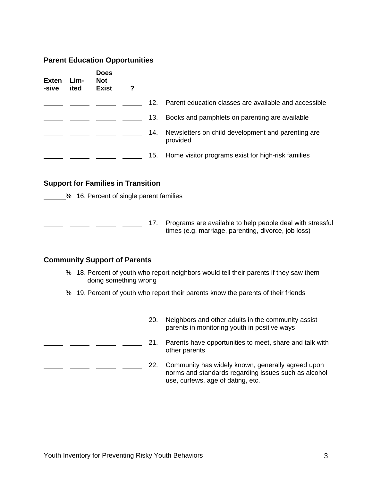#### **Parent Education Opportunities**

| <b>Exten</b><br>-sive | Lim-<br>ited | <b>Does</b><br><b>Not</b><br><b>Exist</b> | ? |     |                                                                |
|-----------------------|--------------|-------------------------------------------|---|-----|----------------------------------------------------------------|
|                       |              |                                           |   | 12. | Parent education classes are available and accessible          |
|                       |              |                                           |   | 13. | Books and pamphlets on parenting are available                 |
|                       |              |                                           |   | 14. | Newsletters on child development and parenting are<br>provided |
|                       |              |                                           |   | 15. | Home visitor programs exist for high-risk families             |

#### **Support for Families in Transition**

**16. Percent of single parent families** 

**17.** Programs are available to help people deal with stressful times (e.g. marriage, parenting, divorce, job loss)

#### **Community Support of Parents**

- % 18. Percent of youth who report neighbors would tell their parents if they saw them doing something wrong
	- % 19. Percent of youth who report their parents know the parents of their friends
- <sup>20</sup>. Neighbors and other adults in the community assist parents in monitoring youth in positive ways 21. Parents have opportunities to meet, share and talk with  $\overline{\phantom{0}}$  $\overline{a}$  and  $\overline{a}$ other parents **22.** Community has widely known, generally agreed upon norms and standards regarding issues such as alcohol use, curfews, age of dating, etc.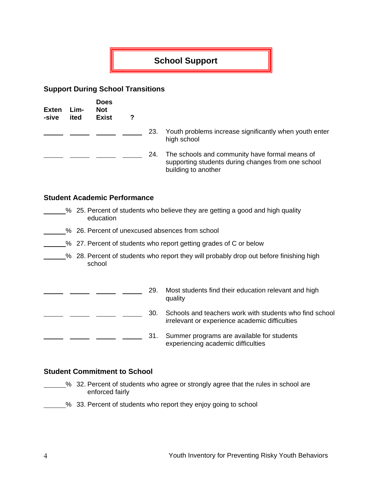## **School Support**

### **Support During School Transitions**

| Exten<br>-sive | Lim-<br>ited | <b>Does</b><br><b>Not</b><br><b>Exist</b> |     |                                                                                                                             |
|----------------|--------------|-------------------------------------------|-----|-----------------------------------------------------------------------------------------------------------------------------|
|                |              |                                           | 23. | Youth problems increase significantly when youth enter<br>high school                                                       |
|                |              |                                           | 24. | The schools and community have formal means of<br>supporting students during changes from one school<br>building to another |

#### **Student Academic Performance**

- % 25. Percent of students who believe they are getting a good and high quality education
- 50 26. Percent of unexcused absences from school
- 27. Percent of students who report getting grades of C or below
- <sup>26</sup> 28. Percent of students who report they will probably drop out before finishing high school

| 29. | Most students find their education relevant and high<br>quality                                           |
|-----|-----------------------------------------------------------------------------------------------------------|
| 30. | Schools and teachers work with students who find school<br>irrelevant or experience academic difficulties |
| 31. | Summer programs are available for students<br>experiencing academic difficulties                          |

## **Student Commitment to School**

- <sup>2</sup>% 32. Percent of students who agree or strongly agree that the rules in school are enforced fairly
	- % 33. Percent of students who report they enjoy going to school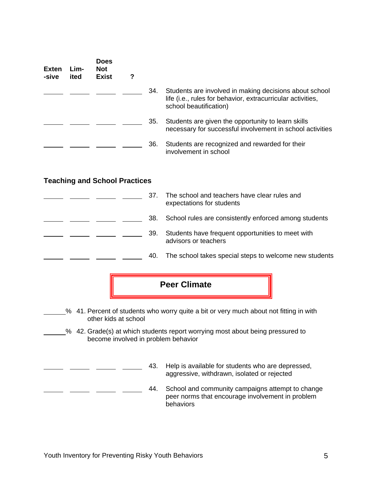| Exten<br>-sive | Lim-<br>ited | <b>Does</b><br><b>Not</b><br><b>Exist</b> | 7 |     |                                                                                                                                                 |
|----------------|--------------|-------------------------------------------|---|-----|-------------------------------------------------------------------------------------------------------------------------------------------------|
|                |              |                                           |   | 34. | Students are involved in making decisions about school<br>life (i.e., rules for behavior, extracurricular activities,<br>school beautification) |
|                |              |                                           |   | 35. | Students are given the opportunity to learn skills<br>necessary for successful involvement in school activities                                 |
|                |              |                                           |   | 36. | Students are recognized and rewarded for their<br>involvement in school                                                                         |

## **Teaching and School Practices**

| 37. | The school and teachers have clear rules and<br>expectations for students |
|-----|---------------------------------------------------------------------------|
| 38. | School rules are consistently enforced among students                     |
| 39. | Students have frequent opportunities to meet with<br>advisors or teachers |
| 40. | The school takes special steps to welcome new students                    |



% 41. Percent of students who worry quite a bit or very much about not fitting in with other kids at school

- % 42. Grade(s) at which students report worrying most about being pressured to become involved in problem behavior
	- 43. Help is available for students who are depressed, aggressive, withdrawn, isolated or rejected

44. School and community campaigns attempt to change peer norms that encourage involvement in problem **behaviors**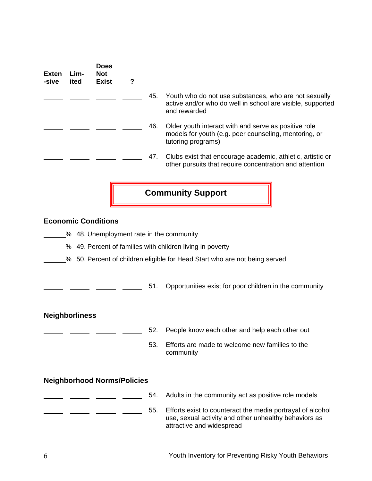| <b>Exten</b><br>-sive | Lim-<br>ited          | <b>Does</b><br><b>Not</b><br><b>Exist</b> | ?                                  |     |                                                                                                                                                  |
|-----------------------|-----------------------|-------------------------------------------|------------------------------------|-----|--------------------------------------------------------------------------------------------------------------------------------------------------|
|                       |                       |                                           |                                    | 45. | Youth who do not use substances, who are not sexually<br>active and/or who do well in school are visible, supported<br>and rewarded              |
|                       |                       |                                           |                                    | 46. | Older youth interact with and serve as positive role<br>models for youth (e.g. peer counseling, mentoring, or<br>tutoring programs)              |
|                       |                       |                                           |                                    | 47. | Clubs exist that encourage academic, athletic, artistic or<br>other pursuits that require concentration and attention                            |
|                       |                       |                                           |                                    |     | <b>Community Support</b>                                                                                                                         |
|                       |                       | <b>Economic Conditions</b>                |                                    |     |                                                                                                                                                  |
|                       |                       |                                           |                                    |     | % 48. Unemployment rate in the community                                                                                                         |
|                       |                       |                                           |                                    |     | % 49. Percent of families with children living in poverty                                                                                        |
|                       |                       |                                           |                                    |     | % 50. Percent of children eligible for Head Start who are not being served                                                                       |
|                       |                       |                                           |                                    |     |                                                                                                                                                  |
|                       |                       |                                           |                                    | 51. | Opportunities exist for poor children in the community                                                                                           |
|                       | <b>Neighborliness</b> |                                           |                                    |     |                                                                                                                                                  |
|                       |                       |                                           |                                    | 52. | People know each other and help each other out                                                                                                   |
|                       |                       |                                           |                                    | 53. | Efforts are made to welcome new families to the<br>community                                                                                     |
|                       |                       |                                           | <b>Neighborhood Norms/Policies</b> |     |                                                                                                                                                  |
|                       |                       |                                           |                                    | 54. | Adults in the community act as positive role models                                                                                              |
|                       |                       |                                           |                                    | 55. | Efforts exist to counteract the media portrayal of alcohol<br>use, sexual activity and other unhealthy behaviors as<br>attractive and widespread |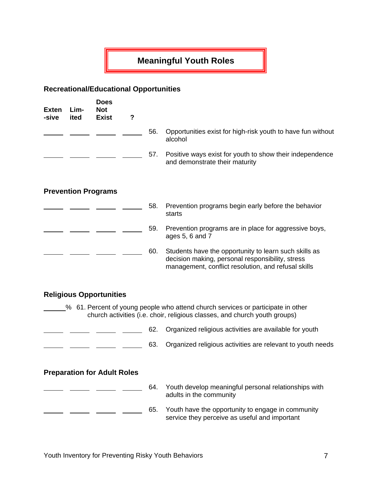## **Meaningful Youth Roles**

## **Recreational/Educational Opportunities**

| <b>Exten</b><br>-sive | Lim-<br>ited | <b>Does</b><br><b>Not</b><br><b>Exist</b> | ? |     |                                                                                                                                                                  |
|-----------------------|--------------|-------------------------------------------|---|-----|------------------------------------------------------------------------------------------------------------------------------------------------------------------|
|                       |              |                                           |   | 56. | Opportunities exist for high-risk youth to have fun without<br>alcohol                                                                                           |
|                       |              |                                           |   | 57. | Positive ways exist for youth to show their independence<br>and demonstrate their maturity                                                                       |
|                       |              | <b>Prevention Programs</b>                |   |     |                                                                                                                                                                  |
|                       |              |                                           |   | 58. | Prevention programs begin early before the behavior<br>starts                                                                                                    |
|                       |              |                                           |   | 59. | Prevention programs are in place for aggressive boys,<br>ages 5, 6 and 7                                                                                         |
|                       |              |                                           |   | 60. | Students have the opportunity to learn such skills as<br>decision making, personal responsibility, stress<br>management, conflict resolution, and refusal skills |
|                       |              | <b>Religious Opportunities</b>            |   |     |                                                                                                                                                                  |
|                       |              |                                           |   |     | % 61. Percent of young people who attend church services or participate in other<br>church activities (i.e. choir, religious classes, and church youth groups)   |
|                       |              |                                           |   | 62. | Organized religious activities are available for youth                                                                                                           |
|                       |              |                                           |   | 63. | Organized religious activities are relevant to youth needs                                                                                                       |
|                       |              | <b>Preparation for Adult Roles</b>        |   |     |                                                                                                                                                                  |
|                       |              |                                           |   | 64. | Youth develop meaningful personal relationships with<br>adults in the community                                                                                  |
|                       |              |                                           |   | 65. | Youth have the opportunity to engage in community                                                                                                                |

service they perceive as useful and important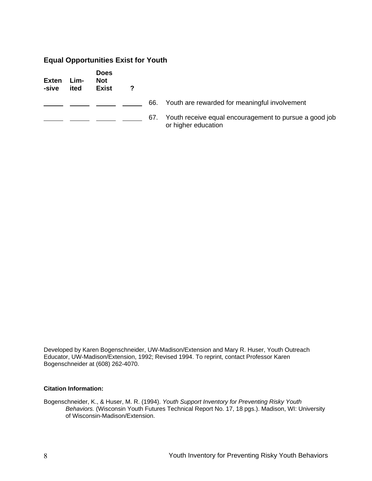## **Equal Opportunities Exist for Youth**

| Exten<br>-sive | Lim-<br>ited | <b>Does</b><br>Not<br><b>Exist</b> | 7 |     |                                                                               |
|----------------|--------------|------------------------------------|---|-----|-------------------------------------------------------------------------------|
|                |              |                                    |   | 66. | Youth are rewarded for meaningful involvement                                 |
|                |              |                                    |   | 67. | Youth receive equal encouragement to pursue a good job<br>or higher education |

Developed by Karen Bogenschneider, UW-Madison/Extension and Mary R. Huser, Youth Outreach Educator, UW-Madison/Extension, 1992; Revised 1994. To reprint, contact Professor Karen Bogenschneider at (608) 262-4070.

#### **Citation Information:**

Bogenschneider, K., & Huser, M. R. (1994). *Youth Support Inventory for Preventing Risky Youth Behaviors.* (Wisconsin Youth Futures Technical Report No. 17, 18 pgs.). Madison, WI: University of Wisconsin-Madison/Extension.